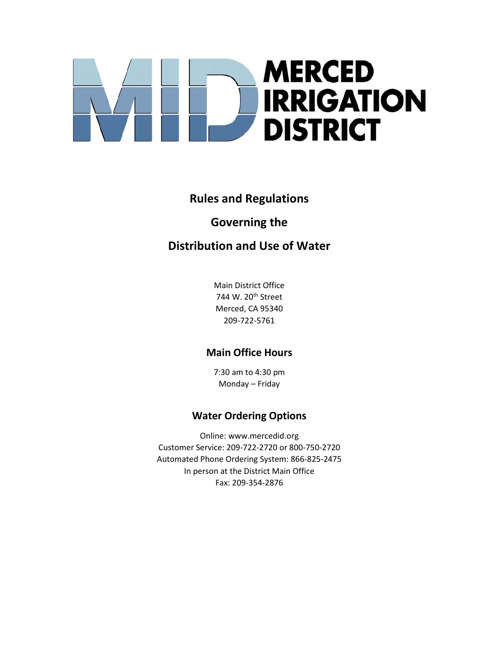# **MERCED IRRIGATION DISTRICT**

# **Rules and Regulations**

# **Governing the**

# **Distribution and Use of Water**

Main District Office 744 W. 20th Street Merced, CA 95340 209-722-5761

# **Main Office Hours**

7:30 am to 4:30 pm Monday – Friday

# **Water Ordering Options**

Online: www.mercedid.org Customer Service: 209-722-2720 or 800-750-2720 Automated Phone Ordering System: 866-825-2475 In person at the District Main Office Fax: 209-354-2876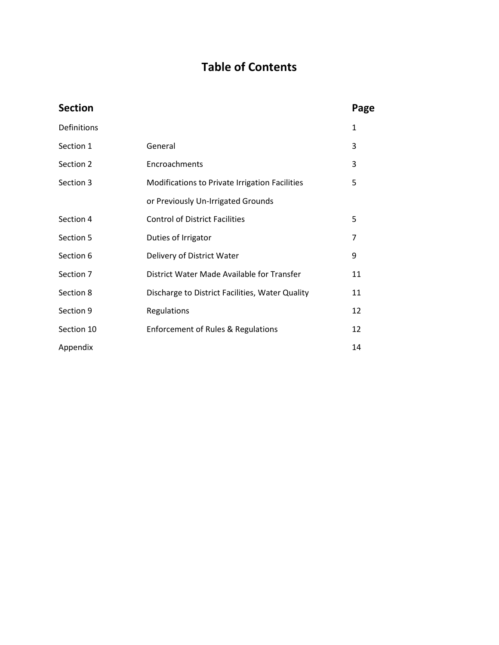# **Table of Contents**

| <b>Section</b>                                               |                                                  | Page         |
|--------------------------------------------------------------|--------------------------------------------------|--------------|
| Definitions                                                  |                                                  | $\mathbf{1}$ |
| Section 1                                                    | General                                          | 3            |
| Section 2                                                    | Encroachments                                    |              |
| Section 3                                                    | Modifications to Private Irrigation Facilities   |              |
|                                                              | or Previously Un-Irrigated Grounds               |              |
| Section 4                                                    | <b>Control of District Facilities</b>            |              |
| Section 5                                                    | Duties of Irrigator                              |              |
| Section 6                                                    | Delivery of District Water<br>9                  |              |
| Section 7                                                    | District Water Made Available for Transfer<br>11 |              |
| Section 8<br>Discharge to District Facilities, Water Quality |                                                  | 11           |
| Section 9                                                    | Regulations                                      | 12           |
| Section 10                                                   | <b>Enforcement of Rules &amp; Regulations</b>    | 12           |
| Appendix                                                     |                                                  | 14           |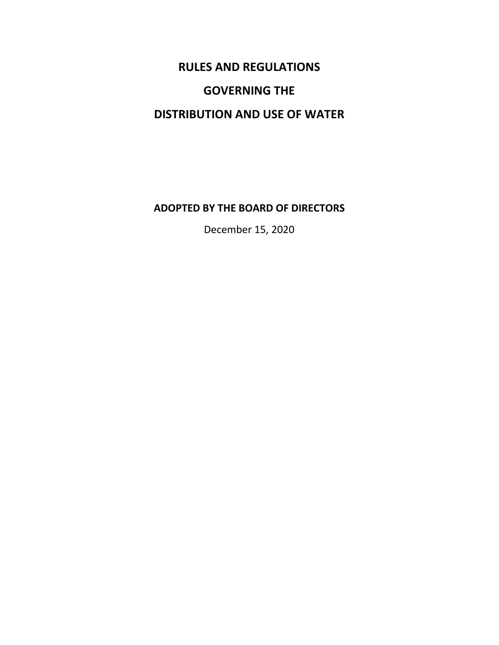# **RULES AND REGULATIONS**

# **GOVERNING THE**

# **DISTRIBUTION AND USE OF WATER**

### **ADOPTED BY THE BOARD OF DIRECTORS**

December 15, 2020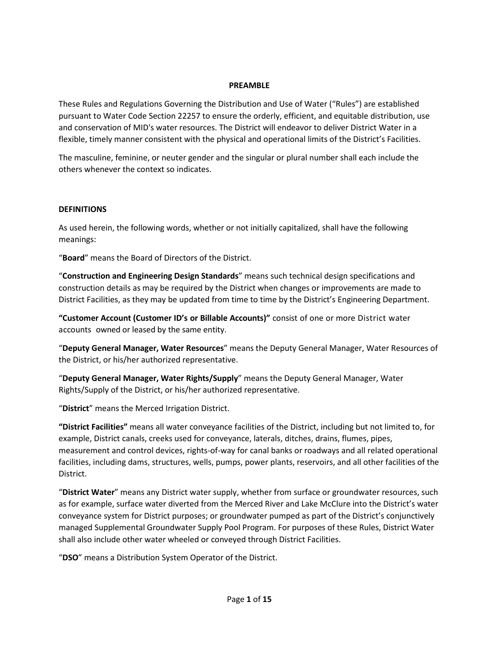#### **PREAMBLE**

These Rules and Regulations Governing the Distribution and Use of Water ("Rules") are established pursuant to Water Code Section 22257 to ensure the orderly, efficient, and equitable distribution, use and conservation of MID's water resources. The District will endeavor to deliver District Water in a flexible, timely manner consistent with the physical and operational limits of the District's Facilities.

The masculine, feminine, or neuter gender and the singular or plural number shall each include the others whenever the context so indicates.

#### **DEFINITIONS**

As used herein, the following words, whether or not initially capitalized, shall have the following meanings:

"**Board**" means the Board of Directors of the District.

"**Construction and Engineering Design Standards**" means such technical design specifications and construction details as may be required by the District when changes or improvements are made to District Facilities, as they may be updated from time to time by the District's Engineering Department.

**"Customer Account (Customer ID's or Billable Accounts)"** consist of one or more District water accounts owned or leased by the same entity.

"**Deputy General Manager, Water Resources**" means the Deputy General Manager, Water Resources of the District, or his/her authorized representative.

"**Deputy General Manager, Water Rights/Supply**" means the Deputy General Manager, Water Rights/Supply of the District, or his/her authorized representative.

"**District**" means the Merced Irrigation District.

**"District Facilities"** means all water conveyance facilities of the District, including but not limited to, for example, District canals, creeks used for conveyance, laterals, ditches, drains, flumes, pipes, measurement and control devices, rights-of-way for canal banks or roadways and all related operational facilities, including dams, structures, wells, pumps, power plants, reservoirs, and all other facilities of the District.

"**District Water**" means any District water supply, whether from surface or groundwater resources, such as for example, surface water diverted from the Merced River and Lake McClure into the District's water conveyance system for District purposes; or groundwater pumped as part of the District's conjunctively managed Supplemental Groundwater Supply Pool Program. For purposes of these Rules, District Water shall also include other water wheeled or conveyed through District Facilities.

"**DSO**" means a Distribution System Operator of the District.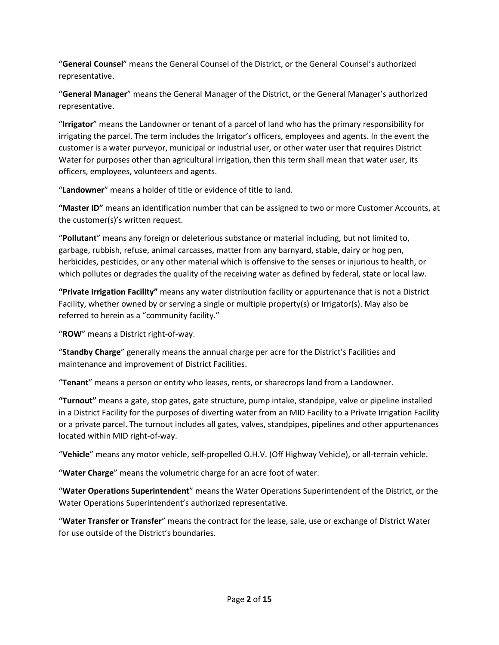"**General Counsel**" means the General Counsel of the District, or the General Counsel's authorized representative.

"**General Manager**" means the General Manager of the District, or the General Manager's authorized representative.

"**Irrigator**" means the Landowner or tenant of a parcel of land who has the primary responsibility for irrigating the parcel. The term includes the Irrigator's officers, employees and agents. In the event the customer is a water purveyor, municipal or industrial user, or other water user that requires District Water for purposes other than agricultural irrigation, then this term shall mean that water user, its officers, employees, volunteers and agents.

"**Landowner**" means a holder of title or evidence of title to land.

**"Master ID"** means an identification number that can be assigned to two or more Customer Accounts, at the customer(s)'s written request.

"**Pollutant**" means any foreign or deleterious substance or material including, but not limited to, garbage, rubbish, refuse, animal carcasses, matter from any barnyard, stable, dairy or hog pen, herbicides, pesticides, or any other material which is offensive to the senses or injurious to health, or which pollutes or degrades the quality of the receiving water as defined by federal, state or local law.

**"Private Irrigation Facility"** means any water distribution facility or appurtenance that is not a District Facility, whether owned by or serving a single or multiple property(s) or Irrigator(s). May also be referred to herein as a "community facility."

"**ROW**" means a District right-of-way.

"**Standby Charge**" generally means the annual charge per acre for the District's Facilities and maintenance and improvement of District Facilities.

"**Tenant**" means a person or entity who leases, rents, or sharecrops land from a Landowner.

**"Turnout"** means a gate, stop gates, gate structure, pump intake, standpipe, valve or pipeline installed in a District Facility for the purposes of diverting water from an MID Facility to a Private Irrigation Facility or a private parcel. The turnout includes all gates, valves, standpipes, pipelines and other appurtenances located within MID right-of-way.

"**Vehicle**" means any motor vehicle, self-propelled O.H.V. (Off Highway Vehicle), or all-terrain vehicle.

"**Water Charge**" means the volumetric charge for an acre foot of water.

"**Water Operations Superintendent**" means the Water Operations Superintendent of the District, or the Water Operations Superintendent's authorized representative.

"**Water Transfer or Transfer**" means the contract for the lease, sale, use or exchange of District Water for use outside of the District's boundaries.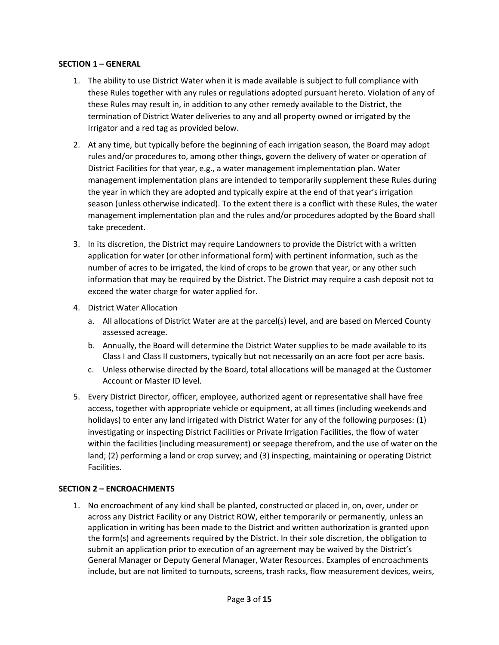#### **SECTION 1 – GENERAL**

- 1. The ability to use District Water when it is made available is subject to full compliance with these Rules together with any rules or regulations adopted pursuant hereto. Violation of any of these Rules may result in, in addition to any other remedy available to the District, the termination of District Water deliveries to any and all property owned or irrigated by the Irrigator and a red tag as provided below.
- 2. At any time, but typically before the beginning of each irrigation season, the Board may adopt rules and/or procedures to, among other things, govern the delivery of water or operation of District Facilities for that year, e.g., a water management implementation plan. Water management implementation plans are intended to temporarily supplement these Rules during the year in which they are adopted and typically expire at the end of that year's irrigation season (unless otherwise indicated). To the extent there is a conflict with these Rules, the water management implementation plan and the rules and/or procedures adopted by the Board shall take precedent.
- 3. In its discretion, the District may require Landowners to provide the District with a written application for water (or other informational form) with pertinent information, such as the number of acres to be irrigated, the kind of crops to be grown that year, or any other such information that may be required by the District. The District may require a cash deposit not to exceed the water charge for water applied for.
- 4. District Water Allocation
	- a. All allocations of District Water are at the parcel(s) level, and are based on Merced County assessed acreage.
	- b. Annually, the Board will determine the District Water supplies to be made available to its Class I and Class II customers, typically but not necessarily on an acre foot per acre basis.
	- c. Unless otherwise directed by the Board, total allocations will be managed at the Customer Account or Master ID level.
- 5. Every District Director, officer, employee, authorized agent or representative shall have free access, together with appropriate vehicle or equipment, at all times (including weekends and holidays) to enter any land irrigated with District Water for any of the following purposes: (1) investigating or inspecting District Facilities or Private Irrigation Facilities, the flow of water within the facilities (including measurement) or seepage therefrom, and the use of water on the land; (2) performing a land or crop survey; and (3) inspecting, maintaining or operating District Facilities.

#### **SECTION 2 – ENCROACHMENTS**

1. No encroachment of any kind shall be planted, constructed or placed in, on, over, under or across any District Facility or any District ROW, either temporarily or permanently, unless an application in writing has been made to the District and written authorization is granted upon the form(s) and agreements required by the District. In their sole discretion, the obligation to submit an application prior to execution of an agreement may be waived by the District's General Manager or Deputy General Manager, Water Resources. Examples of encroachments include, but are not limited to turnouts, screens, trash racks, flow measurement devices, weirs,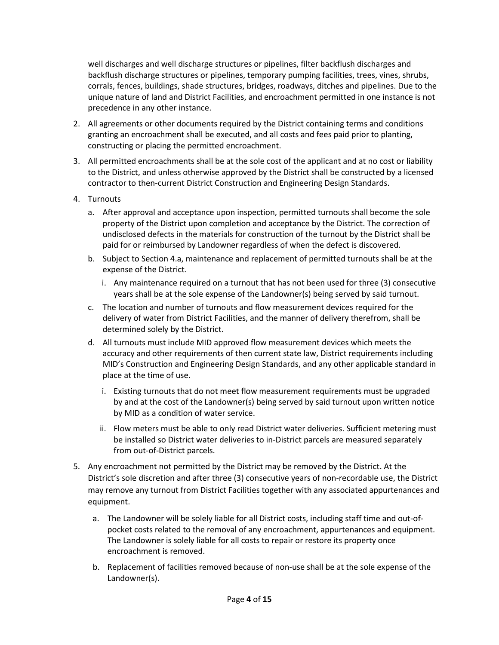well discharges and well discharge structures or pipelines, filter backflush discharges and backflush discharge structures or pipelines, temporary pumping facilities, trees, vines, shrubs, corrals, fences, buildings, shade structures, bridges, roadways, ditches and pipelines. Due to the unique nature of land and District Facilities, and encroachment permitted in one instance is not precedence in any other instance.

- 2. All agreements or other documents required by the District containing terms and conditions granting an encroachment shall be executed, and all costs and fees paid prior to planting, constructing or placing the permitted encroachment.
- 3. All permitted encroachments shall be at the sole cost of the applicant and at no cost or liability to the District, and unless otherwise approved by the District shall be constructed by a licensed contractor to then-current District Construction and Engineering Design Standards.
- 4. Turnouts
	- a. After approval and acceptance upon inspection, permitted turnouts shall become the sole property of the District upon completion and acceptance by the District. The correction of undisclosed defects in the materials for construction of the turnout by the District shall be paid for or reimbursed by Landowner regardless of when the defect is discovered.
	- b. Subject to Section 4.a, maintenance and replacement of permitted turnouts shall be at the expense of the District.
		- i. Any maintenance required on a turnout that has not been used for three (3) consecutive years shall be at the sole expense of the Landowner(s) being served by said turnout.
	- c. The location and number of turnouts and flow measurement devices required for the delivery of water from District Facilities, and the manner of delivery therefrom, shall be determined solely by the District.
	- d. All turnouts must include MID approved flow measurement devices which meets the accuracy and other requirements of then current state law, District requirements including MID's Construction and Engineering Design Standards, and any other applicable standard in place at the time of use.
		- i. Existing turnouts that do not meet flow measurement requirements must be upgraded by and at the cost of the Landowner(s) being served by said turnout upon written notice by MID as a condition of water service.
		- ii. Flow meters must be able to only read District water deliveries. Sufficient metering must be installed so District water deliveries to in-District parcels are measured separately from out-of-District parcels.
- 5. Any encroachment not permitted by the District may be removed by the District. At the District's sole discretion and after three (3) consecutive years of non-recordable use, the District may remove any turnout from District Facilities together with any associated appurtenances and equipment.
	- a. The Landowner will be solely liable for all District costs, including staff time and out-ofpocket costs related to the removal of any encroachment, appurtenances and equipment. The Landowner is solely liable for all costs to repair or restore its property once encroachment is removed.
	- b. Replacement of facilities removed because of non-use shall be at the sole expense of the Landowner(s).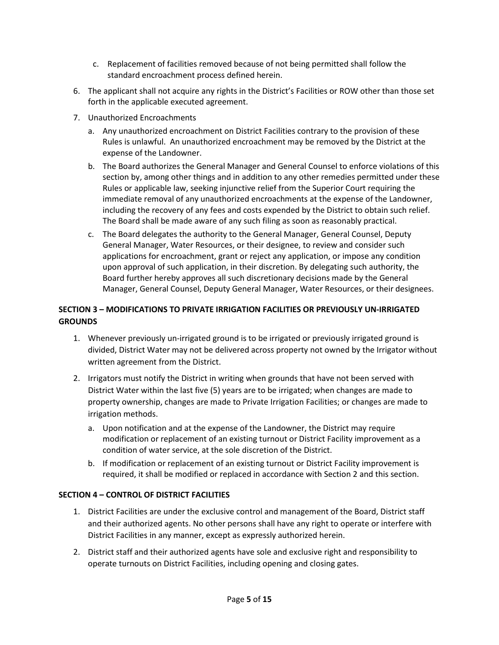- c. Replacement of facilities removed because of not being permitted shall follow the standard encroachment process defined herein.
- 6. The applicant shall not acquire any rights in the District's Facilities or ROW other than those set forth in the applicable executed agreement.
- 7. Unauthorized Encroachments
	- a. Any unauthorized encroachment on District Facilities contrary to the provision of these Rules is unlawful. An unauthorized encroachment may be removed by the District at the expense of the Landowner.
	- b. The Board authorizes the General Manager and General Counsel to enforce violations of this section by, among other things and in addition to any other remedies permitted under these Rules or applicable law, seeking injunctive relief from the Superior Court requiring the immediate removal of any unauthorized encroachments at the expense of the Landowner, including the recovery of any fees and costs expended by the District to obtain such relief. The Board shall be made aware of any such filing as soon as reasonably practical.
	- c. The Board delegates the authority to the General Manager, General Counsel, Deputy General Manager, Water Resources, or their designee, to review and consider such applications for encroachment, grant or reject any application, or impose any condition upon approval of such application, in their discretion. By delegating such authority, the Board further hereby approves all such discretionary decisions made by the General Manager, General Counsel, Deputy General Manager, Water Resources, or their designees.

#### **SECTION 3 – MODIFICATIONS TO PRIVATE IRRIGATION FACILITIES OR PREVIOUSLY UN-IRRIGATED GROUNDS**

- 1. Whenever previously un-irrigated ground is to be irrigated or previously irrigated ground is divided, District Water may not be delivered across property not owned by the Irrigator without written agreement from the District.
- 2. Irrigators must notify the District in writing when grounds that have not been served with District Water within the last five (5) years are to be irrigated; when changes are made to property ownership, changes are made to Private Irrigation Facilities; or changes are made to irrigation methods.
	- a. Upon notification and at the expense of the Landowner, the District may require modification or replacement of an existing turnout or District Facility improvement as a condition of water service, at the sole discretion of the District.
	- b. If modification or replacement of an existing turnout or District Facility improvement is required, it shall be modified or replaced in accordance with Section 2 and this section.

#### **SECTION 4 – CONTROL OF DISTRICT FACILITIES**

- 1. District Facilities are under the exclusive control and management of the Board, District staff and their authorized agents. No other persons shall have any right to operate or interfere with District Facilities in any manner, except as expressly authorized herein.
- 2. District staff and their authorized agents have sole and exclusive right and responsibility to operate turnouts on District Facilities, including opening and closing gates.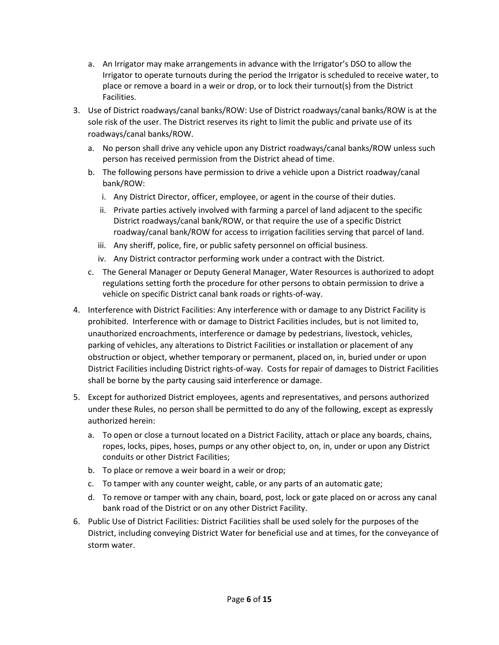- a. An Irrigator may make arrangements in advance with the Irrigator's DSO to allow the Irrigator to operate turnouts during the period the Irrigator is scheduled to receive water, to place or remove a board in a weir or drop, or to lock their turnout(s) from the District Facilities.
- 3. Use of District roadways/canal banks/ROW: Use of District roadways/canal banks/ROW is at the sole risk of the user. The District reserves its right to limit the public and private use of its roadways/canal banks/ROW.
	- a. No person shall drive any vehicle upon any District roadways/canal banks/ROW unless such person has received permission from the District ahead of time.
	- b. The following persons have permission to drive a vehicle upon a District roadway/canal bank/ROW:
		- i. Any District Director, officer, employee, or agent in the course of their duties.
		- ii. Private parties actively involved with farming a parcel of land adjacent to the specific District roadways/canal bank/ROW, or that require the use of a specific District roadway/canal bank/ROW for access to irrigation facilities serving that parcel of land.
		- iii. Any sheriff, police, fire, or public safety personnel on official business.
		- iv. Any District contractor performing work under a contract with the District.
	- c. The General Manager or Deputy General Manager, Water Resources is authorized to adopt regulations setting forth the procedure for other persons to obtain permission to drive a vehicle on specific District canal bank roads or rights-of-way.
- 4. Interference with District Facilities: Any interference with or damage to any District Facility is prohibited. Interference with or damage to District Facilities includes, but is not limited to, unauthorized encroachments, interference or damage by pedestrians, livestock, vehicles, parking of vehicles, any alterations to District Facilities or installation or placement of any obstruction or object, whether temporary or permanent, placed on, in, buried under or upon District Facilities including District rights-of-way. Costs for repair of damages to District Facilities shall be borne by the party causing said interference or damage.
- 5. Except for authorized District employees, agents and representatives, and persons authorized under these Rules, no person shall be permitted to do any of the following, except as expressly authorized herein:
	- a. To open or close a turnout located on a District Facility, attach or place any boards, chains, ropes, locks, pipes, hoses, pumps or any other object to, on, in, under or upon any District conduits or other District Facilities;
	- b. To place or remove a weir board in a weir or drop;
	- c. To tamper with any counter weight, cable, or any parts of an automatic gate;
	- d. To remove or tamper with any chain, board, post, lock or gate placed on or across any canal bank road of the District or on any other District Facility.
- 6. Public Use of District Facilities: District Facilities shall be used solely for the purposes of the District, including conveying District Water for beneficial use and at times, for the conveyance of storm water.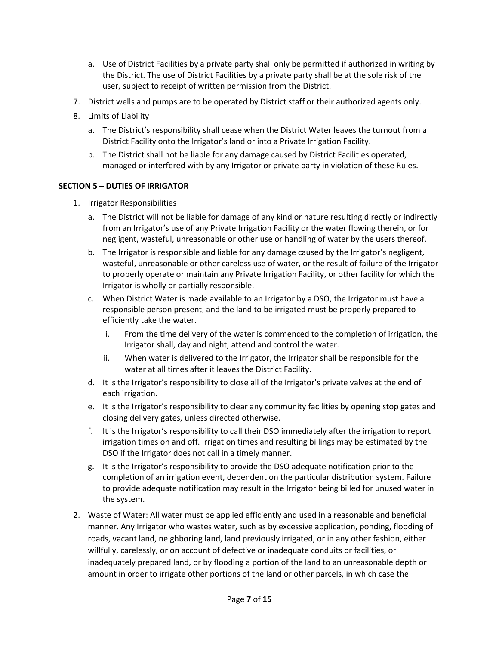- a. Use of District Facilities by a private party shall only be permitted if authorized in writing by the District. The use of District Facilities by a private party shall be at the sole risk of the user, subject to receipt of written permission from the District.
- 7. District wells and pumps are to be operated by District staff or their authorized agents only.
- 8. Limits of Liability
	- a. The District's responsibility shall cease when the District Water leaves the turnout from a District Facility onto the Irrigator's land or into a Private Irrigation Facility.
	- b. The District shall not be liable for any damage caused by District Facilities operated, managed or interfered with by any Irrigator or private party in violation of these Rules.

#### **SECTION 5 – DUTIES OF IRRIGATOR**

- 1. Irrigator Responsibilities
	- a. The District will not be liable for damage of any kind or nature resulting directly or indirectly from an Irrigator's use of any Private Irrigation Facility or the water flowing therein, or for negligent, wasteful, unreasonable or other use or handling of water by the users thereof.
	- b. The Irrigator is responsible and liable for any damage caused by the Irrigator's negligent, wasteful, unreasonable or other careless use of water, or the result of failure of the Irrigator to properly operate or maintain any Private Irrigation Facility, or other facility for which the Irrigator is wholly or partially responsible.
	- c. When District Water is made available to an Irrigator by a DSO, the Irrigator must have a responsible person present, and the land to be irrigated must be properly prepared to efficiently take the water.
		- i. From the time delivery of the water is commenced to the completion of irrigation, the Irrigator shall, day and night, attend and control the water.
		- ii. When water is delivered to the Irrigator, the Irrigator shall be responsible for the water at all times after it leaves the District Facility.
	- d. It is the Irrigator's responsibility to close all of the Irrigator's private valves at the end of each irrigation.
	- e. It is the Irrigator's responsibility to clear any community facilities by opening stop gates and closing delivery gates, unless directed otherwise.
	- f. It is the Irrigator's responsibility to call their DSO immediately after the irrigation to report irrigation times on and off. Irrigation times and resulting billings may be estimated by the DSO if the Irrigator does not call in a timely manner.
	- g. It is the Irrigator's responsibility to provide the DSO adequate notification prior to the completion of an irrigation event, dependent on the particular distribution system. Failure to provide adequate notification may result in the Irrigator being billed for unused water in the system.
- 2. Waste of Water: All water must be applied efficiently and used in a reasonable and beneficial manner. Any Irrigator who wastes water, such as by excessive application, ponding, flooding of roads, vacant land, neighboring land, land previously irrigated, or in any other fashion, either willfully, carelessly, or on account of defective or inadequate conduits or facilities, or inadequately prepared land, or by flooding a portion of the land to an unreasonable depth or amount in order to irrigate other portions of the land or other parcels, in which case the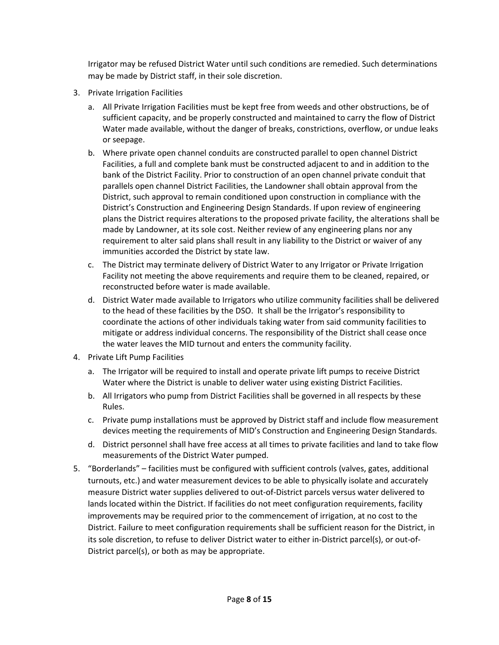Irrigator may be refused District Water until such conditions are remedied. Such determinations may be made by District staff, in their sole discretion.

- 3. Private Irrigation Facilities
	- a. All Private Irrigation Facilities must be kept free from weeds and other obstructions, be of sufficient capacity, and be properly constructed and maintained to carry the flow of District Water made available, without the danger of breaks, constrictions, overflow, or undue leaks or seepage.
	- b. Where private open channel conduits are constructed parallel to open channel District Facilities, a full and complete bank must be constructed adjacent to and in addition to the bank of the District Facility. Prior to construction of an open channel private conduit that parallels open channel District Facilities, the Landowner shall obtain approval from the District, such approval to remain conditioned upon construction in compliance with the District's Construction and Engineering Design Standards. If upon review of engineering plans the District requires alterations to the proposed private facility, the alterations shall be made by Landowner, at its sole cost. Neither review of any engineering plans nor any requirement to alter said plans shall result in any liability to the District or waiver of any immunities accorded the District by state law.
	- c. The District may terminate delivery of District Water to any Irrigator or Private Irrigation Facility not meeting the above requirements and require them to be cleaned, repaired, or reconstructed before water is made available.
	- d. District Water made available to Irrigators who utilize community facilities shall be delivered to the head of these facilities by the DSO. It shall be the Irrigator's responsibility to coordinate the actions of other individuals taking water from said community facilities to mitigate or address individual concerns. The responsibility of the District shall cease once the water leaves the MID turnout and enters the community facility.
- 4. Private Lift Pump Facilities
	- a. The Irrigator will be required to install and operate private lift pumps to receive District Water where the District is unable to deliver water using existing District Facilities.
	- b. All Irrigators who pump from District Facilities shall be governed in all respects by these Rules.
	- c. Private pump installations must be approved by District staff and include flow measurement devices meeting the requirements of MID's Construction and Engineering Design Standards.
	- d. District personnel shall have free access at all times to private facilities and land to take flow measurements of the District Water pumped.
- 5. "Borderlands" facilities must be configured with sufficient controls (valves, gates, additional turnouts, etc.) and water measurement devices to be able to physically isolate and accurately measure District water supplies delivered to out-of-District parcels versus water delivered to lands located within the District. If facilities do not meet configuration requirements, facility improvements may be required prior to the commencement of irrigation, at no cost to the District. Failure to meet configuration requirements shall be sufficient reason for the District, in its sole discretion, to refuse to deliver District water to either in-District parcel(s), or out-of-District parcel(s), or both as may be appropriate.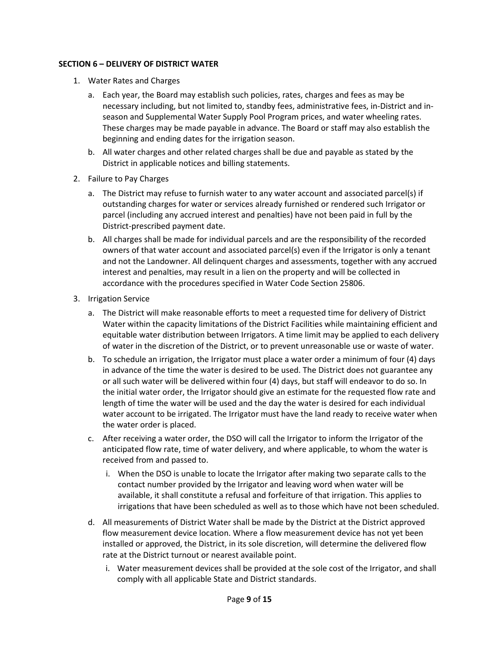#### **SECTION 6 – DELIVERY OF DISTRICT WATER**

- 1. Water Rates and Charges
	- a. Each year, the Board may establish such policies, rates, charges and fees as may be necessary including, but not limited to, standby fees, administrative fees, in-District and inseason and Supplemental Water Supply Pool Program prices, and water wheeling rates. These charges may be made payable in advance. The Board or staff may also establish the beginning and ending dates for the irrigation season.
	- b. All water charges and other related charges shall be due and payable as stated by the District in applicable notices and billing statements.
- 2. Failure to Pay Charges
	- a. The District may refuse to furnish water to any water account and associated parcel(s) if outstanding charges for water or services already furnished or rendered such Irrigator or parcel (including any accrued interest and penalties) have not been paid in full by the District-prescribed payment date.
	- b. All charges shall be made for individual parcels and are the responsibility of the recorded owners of that water account and associated parcel(s) even if the Irrigator is only a tenant and not the Landowner. All delinquent charges and assessments, together with any accrued interest and penalties, may result in a lien on the property and will be collected in accordance with the procedures specified in Water Code Section 25806.
- 3. Irrigation Service
	- a. The District will make reasonable efforts to meet a requested time for delivery of District Water within the capacity limitations of the District Facilities while maintaining efficient and equitable water distribution between Irrigators. A time limit may be applied to each delivery of water in the discretion of the District, or to prevent unreasonable use or waste of water.
	- b. To schedule an irrigation, the Irrigator must place a water order a minimum of four (4) days in advance of the time the water is desired to be used. The District does not guarantee any or all such water will be delivered within four (4) days, but staff will endeavor to do so. In the initial water order, the Irrigator should give an estimate for the requested flow rate and length of time the water will be used and the day the water is desired for each individual water account to be irrigated. The Irrigator must have the land ready to receive water when the water order is placed.
	- c. After receiving a water order, the DSO will call the Irrigator to inform the Irrigator of the anticipated flow rate, time of water delivery, and where applicable, to whom the water is received from and passed to.
		- i. When the DSO is unable to locate the Irrigator after making two separate calls to the contact number provided by the Irrigator and leaving word when water will be available, it shall constitute a refusal and forfeiture of that irrigation. This applies to irrigations that have been scheduled as well as to those which have not been scheduled.
	- d. All measurements of District Water shall be made by the District at the District approved flow measurement device location. Where a flow measurement device has not yet been installed or approved, the District, in its sole discretion, will determine the delivered flow rate at the District turnout or nearest available point.
		- i. Water measurement devices shall be provided at the sole cost of the Irrigator, and shall comply with all applicable State and District standards.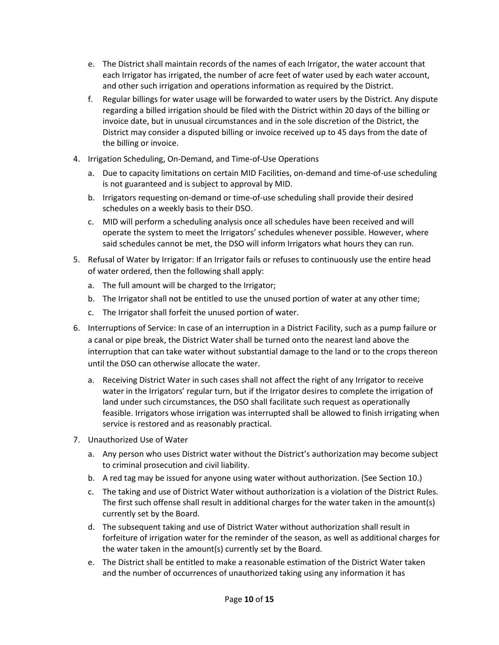- e. The District shall maintain records of the names of each Irrigator, the water account that each Irrigator has irrigated, the number of acre feet of water used by each water account, and other such irrigation and operations information as required by the District.
- f. Regular billings for water usage will be forwarded to water users by the District. Any dispute regarding a billed irrigation should be filed with the District within 20 days of the billing or invoice date, but in unusual circumstances and in the sole discretion of the District, the District may consider a disputed billing or invoice received up to 45 days from the date of the billing or invoice.
- 4. Irrigation Scheduling, On-Demand, and Time-of-Use Operations
	- a. Due to capacity limitations on certain MID Facilities, on-demand and time-of-use scheduling is not guaranteed and is subject to approval by MID.
	- b. Irrigators requesting on-demand or time-of-use scheduling shall provide their desired schedules on a weekly basis to their DSO.
	- c. MID will perform a scheduling analysis once all schedules have been received and will operate the system to meet the Irrigators' schedules whenever possible. However, where said schedules cannot be met, the DSO will inform Irrigators what hours they can run.
- 5. Refusal of Water by Irrigator: If an Irrigator fails or refuses to continuously use the entire head of water ordered, then the following shall apply:
	- a. The full amount will be charged to the Irrigator;
	- b. The Irrigator shall not be entitled to use the unused portion of water at any other time;
	- c. The Irrigator shall forfeit the unused portion of water.
- 6. Interruptions of Service: In case of an interruption in a District Facility, such as a pump failure or a canal or pipe break, the District Water shall be turned onto the nearest land above the interruption that can take water without substantial damage to the land or to the crops thereon until the DSO can otherwise allocate the water.
	- a. Receiving District Water in such cases shall not affect the right of any Irrigator to receive water in the Irrigators' regular turn, but if the Irrigator desires to complete the irrigation of land under such circumstances, the DSO shall facilitate such request as operationally feasible. Irrigators whose irrigation was interrupted shall be allowed to finish irrigating when service is restored and as reasonably practical.
- 7. Unauthorized Use of Water
	- a. Any person who uses District water without the District's authorization may become subject to criminal prosecution and civil liability.
	- b. A red tag may be issued for anyone using water without authorization. (See Section 10.)
	- c. The taking and use of District Water without authorization is a violation of the District Rules. The first such offense shall result in additional charges for the water taken in the amount(s) currently set by the Board.
	- d. The subsequent taking and use of District Water without authorization shall result in forfeiture of irrigation water for the reminder of the season, as well as additional charges for the water taken in the amount(s) currently set by the Board.
	- e. The District shall be entitled to make a reasonable estimation of the District Water taken and the number of occurrences of unauthorized taking using any information it has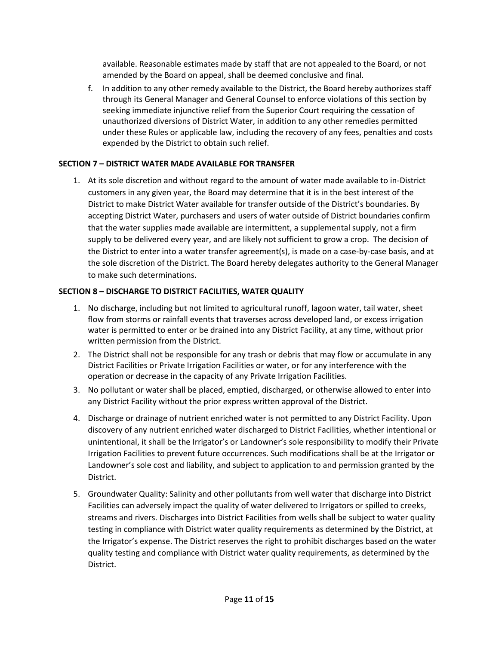available. Reasonable estimates made by staff that are not appealed to the Board, or not amended by the Board on appeal, shall be deemed conclusive and final.

f. In addition to any other remedy available to the District, the Board hereby authorizes staff through its General Manager and General Counsel to enforce violations of this section by seeking immediate injunctive relief from the Superior Court requiring the cessation of unauthorized diversions of District Water, in addition to any other remedies permitted under these Rules or applicable law, including the recovery of any fees, penalties and costs expended by the District to obtain such relief.

#### **SECTION 7 – DISTRICT WATER MADE AVAILABLE FOR TRANSFER**

1. At its sole discretion and without regard to the amount of water made available to in-District customers in any given year, the Board may determine that it is in the best interest of the District to make District Water available for transfer outside of the District's boundaries. By accepting District Water, purchasers and users of water outside of District boundaries confirm that the water supplies made available are intermittent, a supplemental supply, not a firm supply to be delivered every year, and are likely not sufficient to grow a crop. The decision of the District to enter into a water transfer agreement(s), is made on a case-by-case basis, and at the sole discretion of the District. The Board hereby delegates authority to the General Manager to make such determinations.

#### **SECTION 8 – DISCHARGE TO DISTRICT FACILITIES, WATER QUALITY**

- 1. No discharge, including but not limited to agricultural runoff, lagoon water, tail water, sheet flow from storms or rainfall events that traverses across developed land, or excess irrigation water is permitted to enter or be drained into any District Facility, at any time, without prior written permission from the District.
- 2. The District shall not be responsible for any trash or debris that may flow or accumulate in any District Facilities or Private Irrigation Facilities or water, or for any interference with the operation or decrease in the capacity of any Private Irrigation Facilities.
- 3. No pollutant or water shall be placed, emptied, discharged, or otherwise allowed to enter into any District Facility without the prior express written approval of the District.
- 4. Discharge or drainage of nutrient enriched water is not permitted to any District Facility. Upon discovery of any nutrient enriched water discharged to District Facilities, whether intentional or unintentional, it shall be the Irrigator's or Landowner's sole responsibility to modify their Private Irrigation Facilities to prevent future occurrences. Such modifications shall be at the Irrigator or Landowner's sole cost and liability, and subject to application to and permission granted by the District.
- 5. Groundwater Quality: Salinity and other pollutants from well water that discharge into District Facilities can adversely impact the quality of water delivered to Irrigators or spilled to creeks, streams and rivers. Discharges into District Facilities from wells shall be subject to water quality testing in compliance with District water quality requirements as determined by the District, at the Irrigator's expense. The District reserves the right to prohibit discharges based on the water quality testing and compliance with District water quality requirements, as determined by the District.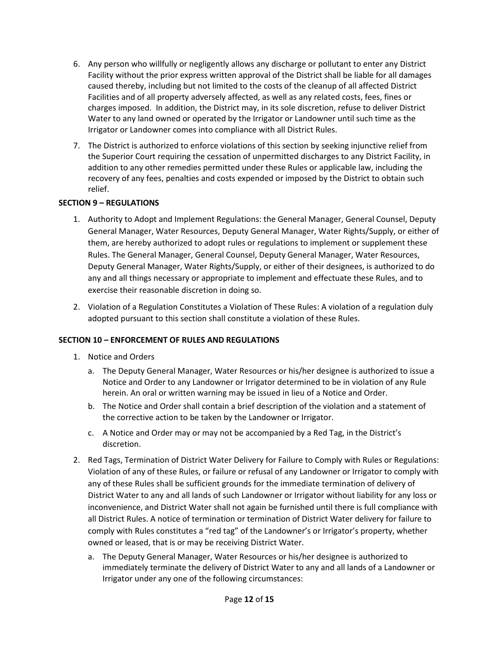- 6. Any person who willfully or negligently allows any discharge or pollutant to enter any District Facility without the prior express written approval of the District shall be liable for all damages caused thereby, including but not limited to the costs of the cleanup of all affected District Facilities and of all property adversely affected, as well as any related costs, fees, fines or charges imposed. In addition, the District may, in its sole discretion, refuse to deliver District Water to any land owned or operated by the Irrigator or Landowner until such time as the Irrigator or Landowner comes into compliance with all District Rules.
- 7. The District is authorized to enforce violations of this section by seeking injunctive relief from the Superior Court requiring the cessation of unpermitted discharges to any District Facility, in addition to any other remedies permitted under these Rules or applicable law, including the recovery of any fees, penalties and costs expended or imposed by the District to obtain such relief.

#### **SECTION 9 – REGULATIONS**

- 1. Authority to Adopt and Implement Regulations: the General Manager, General Counsel, Deputy General Manager, Water Resources, Deputy General Manager, Water Rights/Supply, or either of them, are hereby authorized to adopt rules or regulations to implement or supplement these Rules. The General Manager, General Counsel, Deputy General Manager, Water Resources, Deputy General Manager, Water Rights/Supply, or either of their designees, is authorized to do any and all things necessary or appropriate to implement and effectuate these Rules, and to exercise their reasonable discretion in doing so.
- 2. Violation of a Regulation Constitutes a Violation of These Rules: A violation of a regulation duly adopted pursuant to this section shall constitute a violation of these Rules.

#### **SECTION 10 – ENFORCEMENT OF RULES AND REGULATIONS**

- 1. Notice and Orders
	- a. The Deputy General Manager, Water Resources or his/her designee is authorized to issue a Notice and Order to any Landowner or Irrigator determined to be in violation of any Rule herein. An oral or written warning may be issued in lieu of a Notice and Order.
	- b. The Notice and Order shall contain a brief description of the violation and a statement of the corrective action to be taken by the Landowner or Irrigator.
	- c. A Notice and Order may or may not be accompanied by a Red Tag, in the District's discretion.
- 2. Red Tags, Termination of District Water Delivery for Failure to Comply with Rules or Regulations: Violation of any of these Rules, or failure or refusal of any Landowner or Irrigator to comply with any of these Rules shall be sufficient grounds for the immediate termination of delivery of District Water to any and all lands of such Landowner or Irrigator without liability for any loss or inconvenience, and District Water shall not again be furnished until there is full compliance with all District Rules. A notice of termination or termination of District Water delivery for failure to comply with Rules constitutes a "red tag" of the Landowner's or Irrigator's property, whether owned or leased, that is or may be receiving District Water.
	- a. The Deputy General Manager, Water Resources or his/her designee is authorized to immediately terminate the delivery of District Water to any and all lands of a Landowner or Irrigator under any one of the following circumstances: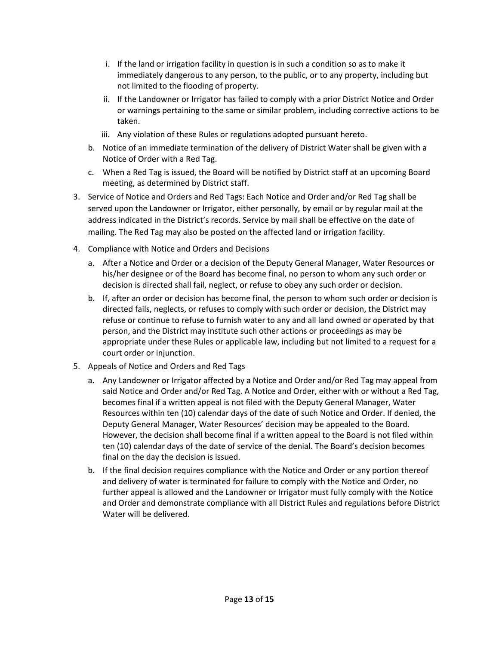- i. If the land or irrigation facility in question is in such a condition so as to make it immediately dangerous to any person, to the public, or to any property, including but not limited to the flooding of property.
- ii. If the Landowner or Irrigator has failed to comply with a prior District Notice and Order or warnings pertaining to the same or similar problem, including corrective actions to be taken.
- iii. Any violation of these Rules or regulations adopted pursuant hereto.
- b. Notice of an immediate termination of the delivery of District Water shall be given with a Notice of Order with a Red Tag.
- c. When a Red Tag is issued, the Board will be notified by District staff at an upcoming Board meeting, as determined by District staff.
- 3. Service of Notice and Orders and Red Tags: Each Notice and Order and/or Red Tag shall be served upon the Landowner or Irrigator, either personally, by email or by regular mail at the address indicated in the District's records. Service by mail shall be effective on the date of mailing. The Red Tag may also be posted on the affected land or irrigation facility.
- 4. Compliance with Notice and Orders and Decisions
	- a. After a Notice and Order or a decision of the Deputy General Manager, Water Resources or his/her designee or of the Board has become final, no person to whom any such order or decision is directed shall fail, neglect, or refuse to obey any such order or decision.
	- b. If, after an order or decision has become final, the person to whom such order or decision is directed fails, neglects, or refuses to comply with such order or decision, the District may refuse or continue to refuse to furnish water to any and all land owned or operated by that person, and the District may institute such other actions or proceedings as may be appropriate under these Rules or applicable law, including but not limited to a request for a court order or injunction.
- 5. Appeals of Notice and Orders and Red Tags
	- a. Any Landowner or Irrigator affected by a Notice and Order and/or Red Tag may appeal from said Notice and Order and/or Red Tag. A Notice and Order, either with or without a Red Tag, becomes final if a written appeal is not filed with the Deputy General Manager, Water Resources within ten (10) calendar days of the date of such Notice and Order. If denied, the Deputy General Manager, Water Resources' decision may be appealed to the Board. However, the decision shall become final if a written appeal to the Board is not filed within ten (10) calendar days of the date of service of the denial. The Board's decision becomes final on the day the decision is issued.
	- b. If the final decision requires compliance with the Notice and Order or any portion thereof and delivery of water is terminated for failure to comply with the Notice and Order, no further appeal is allowed and the Landowner or Irrigator must fully comply with the Notice and Order and demonstrate compliance with all District Rules and regulations before District Water will be delivered.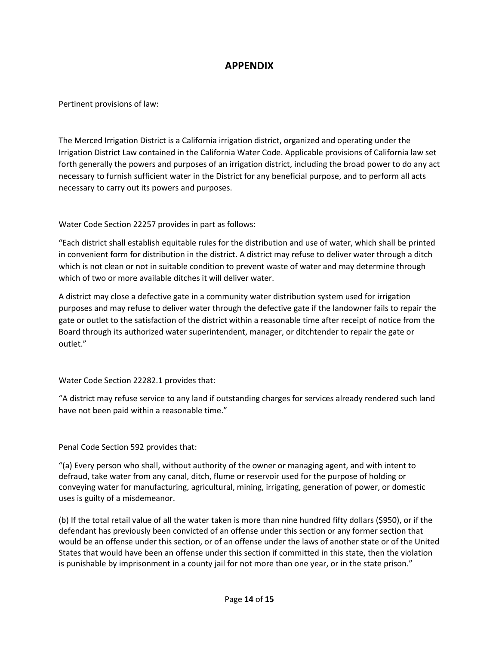#### **APPENDIX**

Pertinent provisions of law:

The Merced Irrigation District is a California irrigation district, organized and operating under the Irrigation District Law contained in the California Water Code. Applicable provisions of California law set forth generally the powers and purposes of an irrigation district, including the broad power to do any act necessary to furnish sufficient water in the District for any beneficial purpose, and to perform all acts necessary to carry out its powers and purposes.

Water Code Section 22257 provides in part as follows:

"Each district shall establish equitable rules for the distribution and use of water, which shall be printed in convenient form for distribution in the district. A district may refuse to deliver water through a ditch which is not clean or not in suitable condition to prevent waste of water and may determine through which of two or more available ditches it will deliver water.

A district may close a defective gate in a community water distribution system used for irrigation purposes and may refuse to deliver water through the defective gate if the landowner fails to repair the gate or outlet to the satisfaction of the district within a reasonable time after receipt of notice from the Board through its authorized water superintendent, manager, or ditchtender to repair the gate or outlet."

Water Code Section 22282.1 provides that:

"A district may refuse service to any land if outstanding charges for services already rendered such land have not been paid within a reasonable time."

Penal Code Section 592 provides that:

"(a) Every person who shall, without authority of the owner or managing agent, and with intent to defraud, take water from any canal, ditch, flume or reservoir used for the purpose of holding or conveying water for manufacturing, agricultural, mining, irrigating, generation of power, or domestic uses is guilty of a misdemeanor.

(b) If the total retail value of all the water taken is more than nine hundred fifty dollars (\$950), or if the defendant has previously been convicted of an offense under this section or any former section that would be an offense under this section, or of an offense under the laws of another state or of the United States that would have been an offense under this section if committed in this state, then the violation is punishable by imprisonment in a county jail for not more than one year, or in the state prison."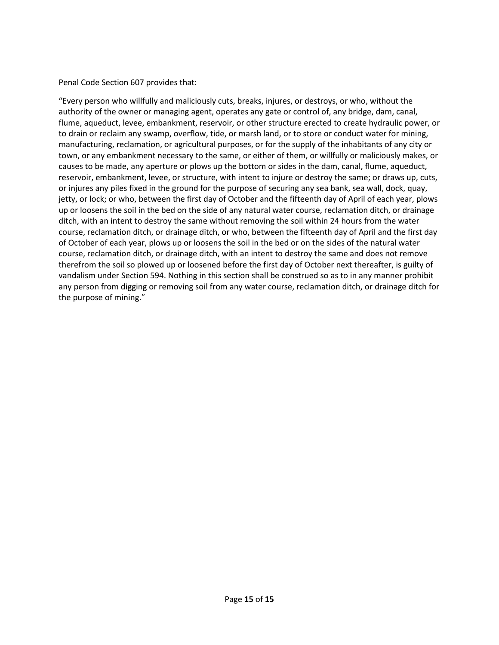#### Penal Code Section 607 provides that:

"Every person who willfully and maliciously cuts, breaks, injures, or destroys, or who, without the authority of the owner or managing agent, operates any gate or control of, any bridge, dam, canal, flume, aqueduct, levee, embankment, reservoir, or other structure erected to create hydraulic power, or to drain or reclaim any swamp, overflow, tide, or marsh land, or to store or conduct water for mining, manufacturing, reclamation, or agricultural purposes, or for the supply of the inhabitants of any city or town, or any embankment necessary to the same, or either of them, or willfully or maliciously makes, or causes to be made, any aperture or plows up the bottom or sides in the dam, canal, flume, aqueduct, reservoir, embankment, levee, or structure, with intent to injure or destroy the same; or draws up, cuts, or injures any piles fixed in the ground for the purpose of securing any sea bank, sea wall, dock, quay, jetty, or lock; or who, between the first day of October and the fifteenth day of April of each year, plows up or loosens the soil in the bed on the side of any natural water course, reclamation ditch, or drainage ditch, with an intent to destroy the same without removing the soil within 24 hours from the water course, reclamation ditch, or drainage ditch, or who, between the fifteenth day of April and the first day of October of each year, plows up or loosens the soil in the bed or on the sides of the natural water course, reclamation ditch, or drainage ditch, with an intent to destroy the same and does not remove therefrom the soil so plowed up or loosened before the first day of October next thereafter, is guilty of vandalism under Section 594. Nothing in this section shall be construed so as to in any manner prohibit any person from digging or removing soil from any water course, reclamation ditch, or drainage ditch for the purpose of mining."